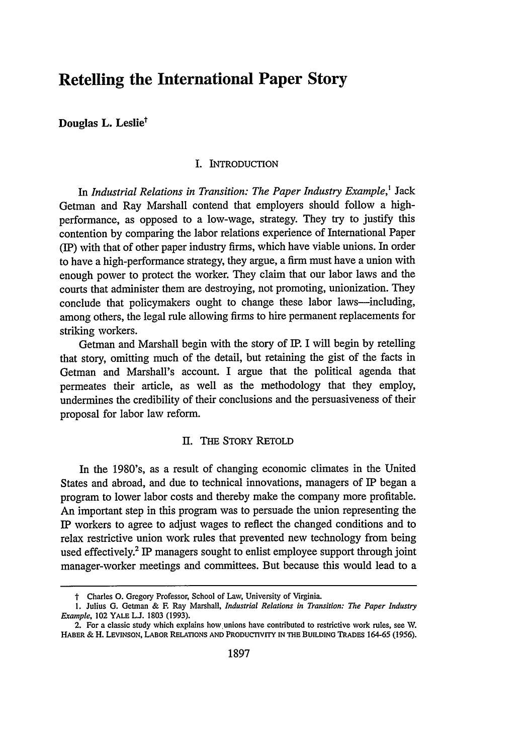# **Retelling the International Paper Story**

**Douglas L. Leslie<sup>†</sup>** 

#### I. INTRODUCTION

In *Industrial Relations in Transition: The Paper Industry Example,'* Jack Getman and Ray Marshall contend that employers should follow a highperformance, as opposed to a low-wage, strategy. They try to justify this contention by comparing the labor relations experience of International Paper (IP) with that of other paper industry firms, which have viable unions. In order to have a high-performance strategy, they argue, a firm must have a union with enough power to protect the worker. They claim that our labor laws and the courts that administer them are destroying, not promoting, unionization. They conclude that policymakers ought to change these labor laws---including, among others, the legal rule allowing firms to hire permanent replacements for striking workers.

Getman and Marshall begin with the story of IP. I will begin by retelling that story, omitting much of the detail, but retaining the gist of the facts in Getman and Marshall's account. I argue that the political agenda that permeates their article, as well as the methodology that they employ, undermines the credibility of their conclusions and the persuasiveness of their proposal for labor law reform.

#### I. THE STORY RETOLD

In the 1980's, as a result of changing economic climates in the United States and abroad, and due to technical innovations, managers of IP began a program to lower labor costs and thereby make the company more profitable. An important step in this program was to persuade the union representing the IP workers to agree to adjust wages to reflect the changed conditions and to relax restrictive union work rules that prevented new technology from being used effectively.' IP managers sought to enlist employee support through joint manager-worker meetings and committees. But because this would lead to a

*t* Charles **0.** Gregory Professor, School of Law, University of Virginia.

<sup>1.</sup> Julius **G.** Getman & F. Ray Marshall, *Industrial Relations in Transition: The Paper Industry Example*, 102 YALE L.J. 1803 (1993).

<sup>2.</sup> For a classic study which explains how unions have contributed to restrictive work rules, see **W.** HABER & H. LEVINSON, LABOR RELATIONS **AND PRODUCTIVITY IN** THE **BUILDING** TRADES 164-65 (1956).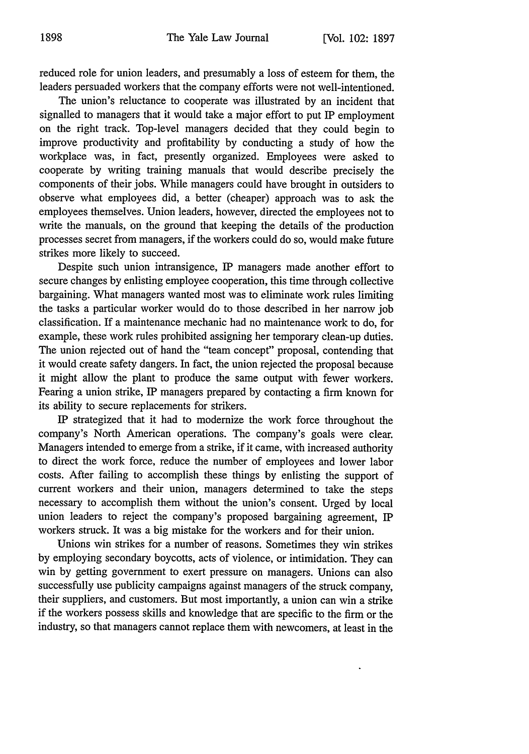reduced role for union leaders, and presumably a loss of esteem for them, the leaders persuaded workers that the company efforts were not well-intentioned.

The union's reluctance to cooperate was illustrated by an incident that signalled to managers that it would take a major effort to put IP employment on the right track. Top-level managers decided that they could begin to improve productivity and profitability by conducting a study of how the workplace was, in fact, presently organized. Employees were asked to cooperate by writing training manuals that would describe precisely the components of their jobs. While managers could have brought in outsiders to observe what employees did, a better (cheaper) approach was to ask the employees themselves. Union leaders, however, directed the employees not to write the manuals, on the ground that keeping the details of the production processes secret from managers, if the workers could do so, would make future strikes more likely to succeed.

Despite such union intransigence, IP managers made another effort to secure changes by enlisting employee cooperation, this time through collective bargaining. What managers wanted most was to eliminate work rules limiting the tasks a particular worker would do to those described in her narrow job classification. If a maintenance mechanic had no maintenance work to do, for example, these work rules prohibited assigning her temporary clean-up duties. The union rejected out of hand the "team concept" proposal, contending that it would create safety dangers. In fact, the union rejected the proposal because it might allow the plant to produce the same output with fewer workers. Fearing a union strike, IP managers prepared by contacting a firm known for its ability to secure replacements for strikers.

IP strategized that it had to modernize the work force throughout the company's North American operations. The company's goals were clear. Managers intended to emerge from a strike, if it came, with increased authority to direct the work force, reduce the number of employees and lower labor costs. After failing to accomplish these things by enlisting the support of current workers and their union, managers determined to take the steps necessary to accomplish them without the union's consent. Urged by local union leaders to reject the company's proposed bargaining agreement, IP workers struck. It was a big mistake for the workers and for their union.

Unions win strikes for a number of reasons. Sometimes they win strikes by employing secondary boycotts, acts of violence, or intimidation. They can win by getting government to exert pressure on managers. Unions can also successfully use publicity campaigns against managers of the struck company, their suppliers, and customers. But most importantly, a union can win a strike if the workers possess skills and knowledge that are specific to the firm or the industry, so that managers cannot replace them with newcomers, at least in the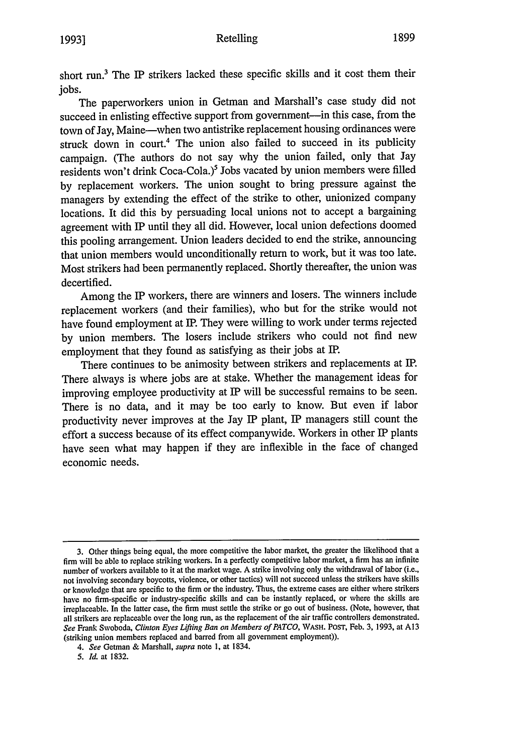#### Retelling **1899 1993]**

short run.3 The IP strikers lacked these specific skills and it cost them their jobs.

The paperworkers union in Getman and Marshall's case study did not succeed in enlisting effective support from government-in this case, from the town of Jay, Maine--when two antistrike replacement housing ordinances were struck down in court.<sup>4</sup> The union also failed to succeed in its publicity campaign. (The authors do not say why the union failed, only that Jay residents won't drink Coca-Cola.)<sup>5</sup> Jobs vacated by union members were filled by replacement workers. The union sought to bring pressure against the managers by extending the effect of the strike to other, unionized company locations. It did this by persuading local unions not to accept a bargaining agreement with IP until they all did. However, local union defections doomed this pooling arrangement. Union leaders decided to end the strike, announcing that union members would unconditionally return to work, but it was too late. Most strikers had been permanently replaced. Shortly thereafter, the union was decertified.

Among the IP workers, there are winners and losers. The winners include replacement workers (and their families), who but for the strike would not have found employment at IP. They were willing to work under terms rejected by union members. The losers include strikers who could not find new employment that they found as satisfying as their jobs at IP.

There continues to be animosity between strikers and replacements at IP. There always is where jobs are at stake. Whether the management ideas for improving employee productivity at IP will be successful remains to be seen. There is no data, and it may be too early to know. But even if labor productivity never improves at the Jay IP plant, IP managers still count the effort a success because of its effect companywide. Workers in other IP plants have seen what may happen if they are inflexible in the face of changed economic needs.

<sup>3.</sup> Other things being equal, the more competitive the labor market, the greater the likelihood that a firm will be able to replace striking workers. In a perfectly competitive labor market, a firm has an infinite number of workers available to it at the market wage. A strike involving only the withdrawal of labor (i.e., not involving secondary boycotts, violence, or other tactics) will not succeed unless the strikers have skills or knowledge that are specific to the firm or the industry. Thus, the extreme cases are either where strikers have no firm-specific or industry-specific skills and can be instantly replaced, or where the skills are irreplaceable. In the latter case, the firm must settle the strike or go out of business. (Note, however, that all strikers are replaceable over the long run, as the replacement of the air traffic controllers demonstrated. *See* Frank Swoboda, *Clinton Eyes Lifting Ban on Members of PATCO,* WASH. POST, Feb. 3, 1993, at **Al3** (striking union members replaced and barred from all government employment)).

*<sup>4.</sup> See* Getman & Marshall, *supra* note 1, at 1834.

*<sup>5.</sup> Id.* at 1832.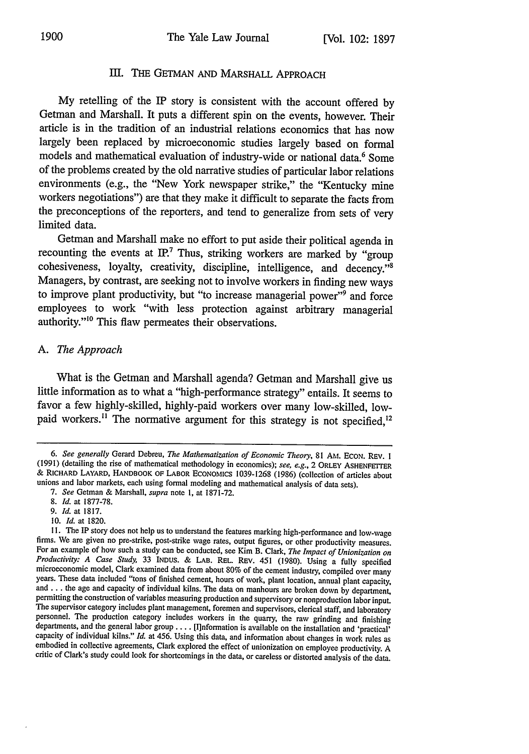### III. THE GETMAN AND MARSHALL APPROACH

**My** retelling of the IP story is consistent with the account offered **by** Getman and Marshall. It puts a different spin on the events, however. Their article is in the tradition of an industrial relations economics that has now largely been replaced **by** microeconomic studies largely based on formal models and mathematical evaluation of industry-wide or national data.<sup>6</sup> Some of the problems created **by** the old narrative studies of particular labor relations environments (e.g., the "New York newspaper strike," the "Kentucky mine workers negotiations") are that they make it difficult to separate the facts from the preconceptions of the reporters, and tend to generalize from sets of very limited data.

Getman and Marshall make no effort to put aside their political agenda in recounting the events at **IR7** Thus, striking workers are marked **by** "group  $\alpha$  cohesiveness, loyalty, creativity, discipline, intelligence, and decency.<sup>"8</sup> Managers, **by** contrast, are seeking not to involve workers in finding new ways to improve plant productivity, but "to increase managerial power"<sup>9</sup> and force employees to work "with less protection against arbitrary managerial authority."<sup>10</sup> This flaw permeates their observations.

### *A. The Approach*

What is the Getman and Marshall agenda? Getman and Marshall give us little information as to what a "high-performance strategy" entails. It seems to favor a few highly-skilled, highly-paid workers over many low-skilled, **low**paid workers.<sup>11</sup> The normative argument for this strategy is not specified,<sup>12</sup>

10. *Id.* at 1820.

*<sup>6.</sup> See generally* Gerard Debreu, *The Mathematization of Economic Theory,* 81 AM. ECON. REv. I (1991) (detailing the rise of mathematical methodology in economics); *see, e.g.,* 2 ORLEY ASHENFETTER **&** RICHARD LAYARD, HANDBOOK OF LABOR ECONOMICS 1039-1268 (1986) (collection of articles about unions and labor markets, each using formal modeling and mathematical analysis of data sets).

*<sup>7.</sup> See* Getman & Marshall, *supra* note 1, at 1871-72.

*<sup>8.</sup> Id.* at 1877-78.

*<sup>9.</sup> Id.* at 1817.

<sup>11.</sup> The IP story does not help us to understand the features marking high-performance and low-wage firms. We are given no pre-strike, post-strike wage rates, output figures, or other productivity measures.<br>For an example o microeconomic model, Clark examined data from about 80% of the cement industry, compiled over many years. These data included "tons of finished cement, hours of work, plant location, annual plant capacity, and ... the age and capacity of individual kilns. The data on manhours are broken down by department, permitting the construction of variables measuring production and supervisory or nonproduction labor input. The supervisor category includes plant management, foremen and supervisors, clerical staff, and laboratory personnel. The production category includes workers in the quarry, the raw grinding and finishing departments, and capacity of individual kilns." Id. at 456. Using this data, and information about changes in work rules as embodied in collective agreements, Clark explored the effect of unionization on employee productivity. A critic of Clark's study could look for shortcomings in the data, or careless or distorted analysis of the data.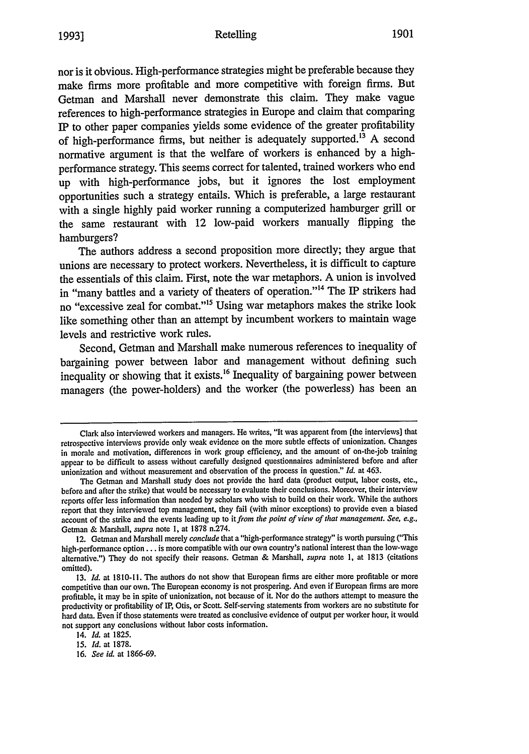#### Retelling **1993] 1901**

nor is it obvious. High-performance strategies might be preferable because they make firms more profitable and more competitive with foreign firms. But Getman and Marshall never demonstrate this claim. They make vague references to high-performance strategies in Europe and claim that comparing IP to other paper companies yields some evidence of the greater profitability of high-performance firms, but neither is adequately supported.<sup>13</sup> A second normative argument is that the welfare of workers is enhanced by a highperformance strategy. This seems correct for talented, trained workers who end up with high-performance jobs, but it ignores the lost employment opportunities such a strategy entails. Which is preferable, a large restaurant with a single highly paid worker running a computerized hamburger grill or the same restaurant with 12 low-paid workers manually flipping the hamburgers?

The authors address a second proposition more directly; they argue that unions are necessary to protect workers. Nevertheless, it is difficult to capture the essentials of this claim. First, note the war metaphors. A union is involved in "many battles and a variety of theaters of operation."<sup>14</sup> The IP strikers had no "excessive zeal for combat."<sup>15</sup> Using war metaphors makes the strike look like something other than an attempt by incumbent workers to maintain wage levels and restrictive work rules.

Second, Getman and Marshall make numerous references to inequality of bargaining power between labor and management without defining such inequality or showing that it exists.<sup>16</sup> Inequality of bargaining power between managers (the power-holders) and the worker (the powerless) has been an

*15. Id.* at 1878.

Clark also interviewed workers and managers. He writes, "It was apparent from [the interviews] that retrospective interviews provide only weak evidence on the more subtle effects of unionization. Changes in morale and motivation, differences in work group efficiency, and the amount of on-the-job training appear to be difficult to assess without carefully designed questionnaires administered before and after unionization and without measurement and observation of the process in question." *Id.* at 463.

The Getman and Marshall study does not provide the hard data (product output, labor costs, etc., before and after the strike) that would be necessary to evaluate their conclusions. Moreover, their interview reports offer less information than needed by scholars who wish to build on their work. While the authors report that they interviewed top management, they fail (with minor exceptions) to provide even a biased account of the strike and the events leading up to *it from the point of view of that management. See, e.g.,* Getman & Marshall, *supra* note I, at 1878 n.274.

<sup>12.</sup> Getman and Marshall merely *conclude* that a "high-performance strategy" is worth pursuing ("This high-performance option **...** is more compatible with our own country's national interest than the low-wage alternative.") They do not specify their reasons. Getman & Marshall, *supra* note **1,** at 1813 (citations omitted).

<sup>13.</sup> *Id.* at 1810-11. The authors do not show that European firms are either more profitable or more competitive than our own. The European economy is not prospering. And even if European firms are more profitable, it may be in spite of unionization, not because of it. Nor do the authors attempt to measure the productivity or profitability of IP, Otis, or Scott. Self-serving statements from workers are no substitute for hard data. Even if those statements were treated as conclusive evidence of output per worker hour, it would not support any conclusions without labor costs information.

<sup>14.</sup> *Id.* at 1825.

<sup>16.</sup> *See id.* at 1866-69.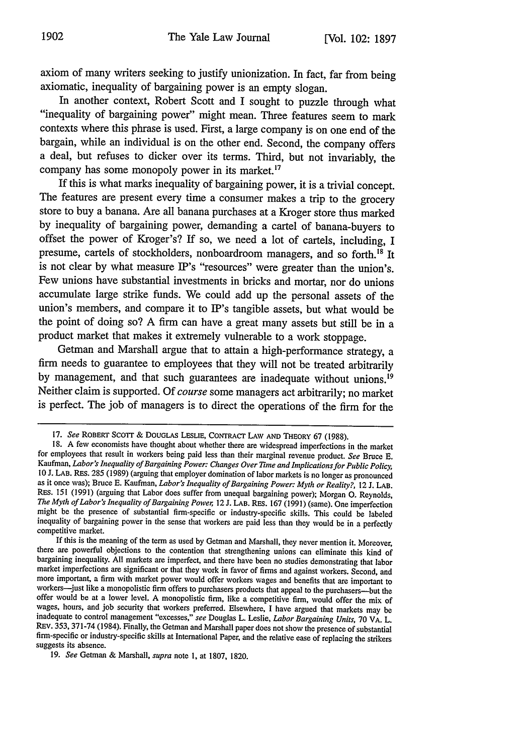axiom of many writers seeking to justify unionization. In fact, far from being axiomatic, inequality of bargaining power is an empty slogan.

In another context, Robert Scott and **I** sought to puzzle through what "inequality of bargaining power" might mean. Three features seem to mark contexts where this phrase is used. First, a large company is on one end of the bargain, while an individual is on the other end. Second, the company offers a deal, but refuses to dicker over its terms. Third, but not invariably, the company has some monopoly power in its market.<sup>17</sup>

**If** this is what marks inequality of bargaining power, it is a trivial concept. The features are present every time a consumer makes a trip to the grocery store to buy a banana. Are all banana purchases at a Kroger store thus marked **by** inequality of bargaining power, demanding a cartel of banana-buyers to offset the power of Kroger's? **If** so, we need a lot of cartels, including, I presume, cartels of stockholders, nonboardroom managers, and so forth.<sup>18</sup> It is not clear **by** what measure IP's "resources" were greater than the union's. Few unions have substantial investments in bricks and mortar, nor do unions accumulate large strike funds. We could add up the personal assets of the union's members, and compare it to IP's tangible assets, but what would be the point of doing so? **A** firm can have a great many assets but still be in a product market that makes it extremely vulnerable to a work stoppage.

Getman and Marshall argue that to attain a high-performance strategy, a firm needs to guarantee to employees that they will not be treated arbitrarily by management, and that such guarantees are inadequate without unions.<sup>19</sup> Neither claim is supported. **Of** *course* some managers act arbitrarily; no market is perfect. The **job** of managers is to direct the operations of the firm for the

**<sup>17.</sup>** *See* ROBERT SCOTr **& DOUGLAS LESLIE, CONTRACT** *LAW* **AND THEORY 67 (1988).**

**<sup>18.</sup> A** few economists have thought about whether there are widespread imperfections in the market for employees that result in workers being paid less than their marginal revenue product. *See* Bruce **E.** Kaufman, *Labor's Inequality of Bargaining Power: Changes Over Tme and Implications for Public Policy* as it once was); Bruce E. Kaufman, Labor's Inequality of Bargaining Power: Myth or Reality?, 12 J. LAB. RES. **151 (1991)** (arguing that Labor does suffer from unequal bargaining power); Morgan **0.** Reynolds, The Myth of Labor's Inequality of Bargaining Power, 12 J. LAB. RES. 167 (1991) (same). One imperfection might be the presence of substantial firm-specific or industry-specific skills. This could be labeled inequality of bargaining power in the sense that workers are paid less than they would be in a perfectly competitive market.

**If** this is the meaning of the term as used **by** Getman and Marshall, they never mention **it.** Moreover, there are powerful objections to the contention that strengthening unions can eliminate this kind of bargaining inequality. **All** markets are imperfect, and there have been no studies demonstrating that labor market imperfections are significant or that they work in favor of firms and against workers. Second, and more important, a firm with market power would offer workers wages and benefits that are important to workers-just like a monopolistic firm offers to purchasers products that appeal to the purchasers--but the offer would be at a lower level. **A** monopolistic firm, like a competitive firm, would offer the mix of wages, hours, and **job** security that workers preferred. Elsewhere, **I** have argued that markets may be inadequate to control management "excesses," *see* Douglas L. Leslie, *Labor Bargaining Units,* **70** VA. L. **REV. 353, 371-74** (1984). Finally, the Getman and Marshall paper does not show the presence of substantial firm-specific or industry-specific skills at International Paper, and the relative ease of replacing the strikers suggests its absence.

**<sup>19.</sup>** *See* Getman **&** Marshall, *supra* note **1,** at **1807, 1820.**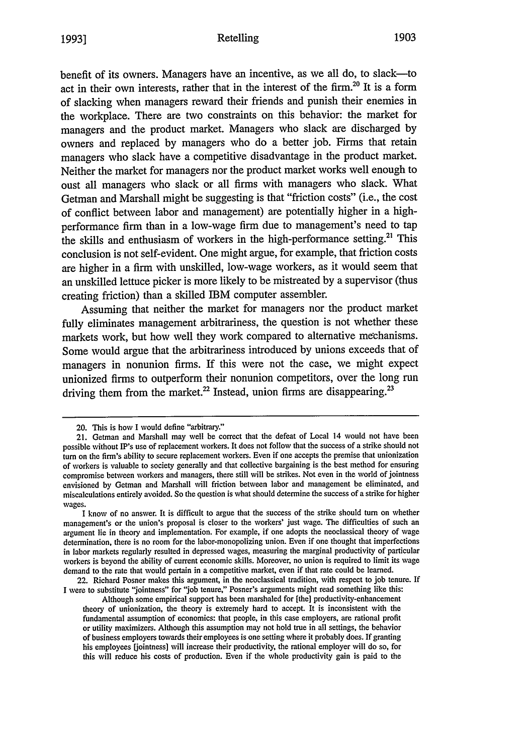benefit of its owners. Managers have an incentive, as we all do, to slack-to act in their own interests, rather that in the interest of the firm.<sup>20</sup> It is a form of slacking when managers reward their friends and punish their enemies in the workplace. There are two constraints on this behavior: the market for managers and the product market. Managers who slack are discharged by owners and replaced by managers who do a better job. Firms that retain managers who slack have a competitive disadvantage in the product market. Neither the market for managers nor the product market works well enough to oust all managers who slack or all firms with managers who slack. What Getman and Marshall might be suggesting is that "friction costs" (i.e., the cost of conflict between labor and management) are potentially higher in a highperformance firm than in a low-wage firm due to management's need to tap the skills and enthusiasm of workers in the high-performance setting.<sup>21</sup> This conclusion is not self-evident. One might argue, for example, that friction costs are higher in a firm with unskilled, low-wage workers, as it would seem that an unskilled lettuce picker is more likely to be mistreated by a supervisor (thus creating friction) than a skilled IBM computer assembler.

Assuming that neither the market for managers nor the product market fully eliminates management arbitrariness, the question is not whether these markets work, but how well they work compared to alternative mechanisms. Some would argue that the arbitrariness introduced by unions exceeds that of managers in nonunion firms. If this were not the case, we might expect unionized firms to outperform their nonunion competitors, over the long run driving them from the market.<sup>22</sup> Instead, union firms are disappearing.<sup>23</sup>

<sup>20.</sup> This is how I would define "arbitrary."

<sup>21.</sup> Getman and Marshall may well be correct that the defeat of Local 14 would not have been possible without IP's use of replacement workers. It does not follow that the success of a strike should not turn on the firm's ability to secure replacement workers. Even if one accepts the premise that unionization of workers is valuable to society generally and that collective bargaining is the best method for ensuring compromise between workers and managers, there still will be strikes. Not even in the world of jointness envisioned by Getman and Marshall will friction between labor and management be eliminated, and miscalculations entirely avoided. So the question is what should determine the success of a strike for higher wages.

I know of no answer. It is difficult to argue that the success of the strike should turn on whether management's or the union's proposal is closer to the workers' just wage. The difficulties of such an argument lie in theory and implementation. For example, if one adopts the neoclassical theory of wage determination, there is no room for the labor-monopolizing union. Even if one thought that imperfections in labor markets regularly resulted in depressed wages, measuring the marginal productivity of particular workers is beyond the ability of current economic skills. Moreover, no union is required to limit its wage demand to the rate that would pertain in a competitive market, even if that rate could be learned.

<sup>22.</sup> Richard Posner makes this argument, in the neoclassical tradition, with respect to job tenure. If I were to substitute "jointness" for "job tenure," Posner's arguments might read something like this:

Although some empirical support has been marshaled for [the] productivity-enhancement theory of unionization, the theory is extremely hard to accept. It is inconsistent with the fundamental assumption of economics: that people, in this case employers, are rational profit or utility maximizers. Although this assumption may not hold true in all settings, the behavior of business employers towards their employees is one setting where it probably does. If granting his employees [jointness] will increase their productivity, the rational employer will do so, for this will reduce his costs of production. Even if the whole productivity gain is paid to the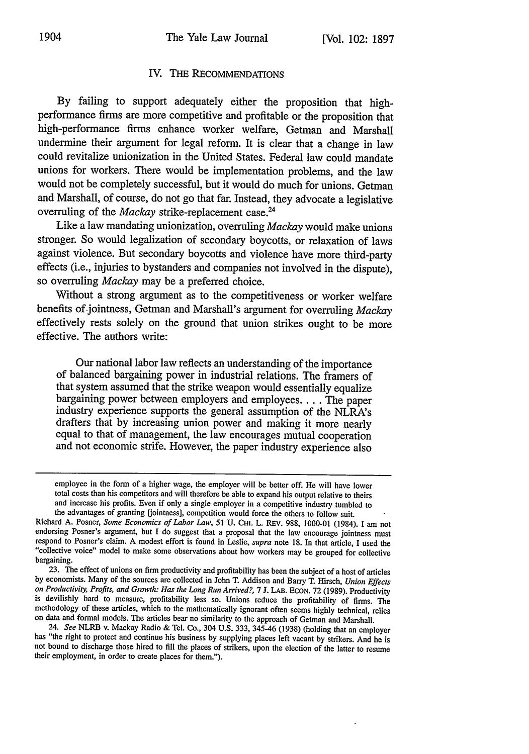## IV. THE RECOMMENDATIONS

By failing to support adequately either the proposition that highperformance firms are more competitive and profitable or the proposition that high-performance firms enhance worker welfare, Getman and Marshall undermine their argument for legal reform. It is clear that a change in law could revitalize unionization in the United States. Federal law could mandate unions for workers. There would be implementation problems, and the law would not be completely successful, but it would do much for unions. Getman and Marshall, of course, do not go that far. Instead, they advocate a legislative overruling of the *Mackay* strike-replacement case.<sup>24</sup>

Like a law mandating unionization, overruling *Mackay* would make unions stronger. So would legalization of secondary boycotts, or relaxation of laws against violence. But secondary boycotts and violence have more third-party effects (i.e., injuries to bystanders and companies not involved in the dispute), so overruling *Mackay* may be a preferred choice.

Without a strong argument as to the competitiveness or worker welfare benefits of jointness, Getman and Marshall's argument for overruling *Mackay* effectively rests solely on the ground that union strikes ought to be more effective. The authors write:

Our national labor law reflects an understanding of the importance of balanced bargaining power in industrial relations. The framers of bargaining power between employers and employees.... The paper industry experience supports the general assumption of the NLRA's drafters that by increasing union power and making it more nearly equal to that of management, the law encourages mutual cooperation and not economic strife. However, the paper industry experience also

employee in the form of a higher wage, the employer will be better off. He will have lower total costs than his competitors and will therefore be able to expand his output relative to theirs and increase his profits. Even if only a single employer in a competitive industry tumbled to the advantages of granting [jointness], competition would force the others to follow suit.

Richard A. Posner, *Some Economics of Labor Law,* 51 U. **CHI.** L. REV. 988, 1000-01 (1984). I am not endorsing Posner's argument, but I do suggest that a proposal that the law encourage jointness must respond to Posner's claim. A modest effort is found in Leslie, *supra* note 18. In that article, I used the "collective voice" model to make some observations about how workers may be grouped for collective bargaining.

<sup>23.</sup> The effect of unions on firm productivity and profitability has been the subject of a host of articles by economists. Many of the sources are collected in John T. Addison and Barry T. Hirsch, *Union Effects on Productivity, Profits, and Growth: Has the Long Run Arrived?,* 7 J. LAB. ECON. 72 (1989). Productivity is devilishly hard to measure, profitability less so. Unions reduce the profitability of firms. The methodology of these articles, which to the mathematically ignorant often seems highly technical, relies on data and formal models. The articles bear no similarity to the approach of Getman and Marshall.

<sup>24.</sup> *See* NLRB v. Mackay Radio & Tel. Co., 304 U.S. 333, 345-46 (1938) (holding that an employer has "the right to protect and continue his business by supplying places left vacant by strikers. And he is not bound to discharge those hired to fill the places of strikers, upon the election of the latter to resume their employment, in order to create places for them.").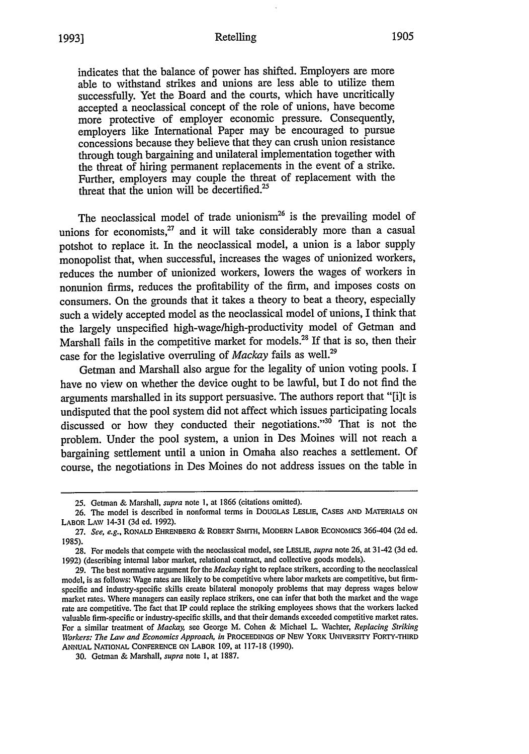#### Retelling **1905 1993]**

indicates that the balance of power has shifted. Employers are more able to withstand strikes and unions are less able to utilize them successfully. Yet the Board and the courts, which have uncritically accepted a neoclassical concept of the role of unions, have become more protective of employer economic pressure. Consequently, employers like International Paper may be encouraged to pursue concessions because they believe that they can crush union resistance through tough bargaining and unilateral implementation together with the threat of hiring permanent replacements in the event of a strike. Further, employers may couple the threat of replacement with the threat that the union will be decertified.<sup>25</sup>

The neoclassical model of trade unionism<sup>26</sup> is the prevailing model of unions for economists, $^{27}$  and it will take considerably more than a casual potshot to replace it. In the neoclassical model, a union is a labor supply monopolist that, when successful, increases the wages of unionized workers, reduces the number of unionized workers, lowers the wages of workers in nonunion firms, reduces the profitability of the firm, and imposes costs on consumers. On the grounds that it takes a theory to beat a theory, especially such a widely accepted model as the neoclassical model of unions, I think that the largely unspecified high-wage/high-productivity model of Getman and Marshall fails in the competitive market for models.<sup>28</sup> If that is so, then their case for the legislative overruling of *Mackay* fails as well.29

Getman and Marshall also argue for the legality of union voting pools. I have no view on whether the device ought to be lawful, but I do not find the arguments marshalled in its support persuasive. The authors report that "[i]t is undisputed that the pool system did not affect which issues participating locals discussed or how they conducted their negotiations." $30$  That is not the problem. Under the pool system, a union in Des Moines will not reach a bargaining settlement until a union in Omaha also reaches a settlement. Of course, the negotiations in Des Moines do not address issues on the table in

<sup>25.</sup> Getman & Marshall, *supra* note **1,** at 1866 (citations omitted).

**<sup>26.</sup>** The model is described in nonformal terms in DOUGLAS LESLIE, CASES **AND** MATERIALS ON LABOR LAW 14-31 (3d ed. 1992).

<sup>27.</sup> *See, e.g.,* RONALD EHRENBERG & ROBERT SMITH, MODERN LABOR ECONOMICS 366-404 (2d ed. 1985).

<sup>28.</sup> For models that compete with the neoclassical model, see LESLIE, *supra* note 26, at 31-42 (3d ed. 1992) (describing internal labor market, relational contract, and collective goods models).

<sup>29.</sup> *The* best normative argument for the *Mackay* right to replace strikers, according to the neoclassical model, is as follows: Wage rates are likely to be competitive where labor markets are competitive, but firmspecific and industry-specific skills create bilateral monopoly problems that may depress wages below market rates. Where managers can easily replace strikers, one can infer that both the market and the wage rate are competitive. The fact that IP could replace the striking employees shows that the workers lacked valuable firm-specific or industry-specific skills, and that their demands exceeded competitive market rates. For a similar treatment of *Mackay,* see George M. Cohen & Michael L. Wachter, *Replacing Striking Wlbrkers: The Law and Economics Approach, in* PROCEEDINGS OF *NEW* YORK **UNIVERSITY** FORTY-THIRD ANNUAL NATIONAL CONFERENCE ON LABOR 109, at 117-18 (1990).

<sup>30.</sup> Getman & Marshall, *supra* note **1,** at 1887.